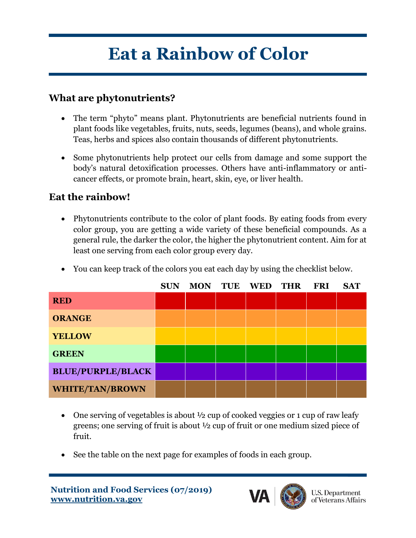## **Eat a Rainbow of Color**

## **What are phytonutrients?**

- The term "phyto" means plant. Phytonutrients are beneficial nutrients found in plant foods like vegetables, fruits, nuts, seeds, legumes (beans), and whole grains. Teas, herbs and spices also contain thousands of different phytonutrients.
- Some phytonutrients help protect our cells from damage and some support the body's natural detoxification processes. Others have anti-inflammatory or anticancer effects, or promote brain, heart, skin, eye, or liver health.

## **Eat the rainbow!**

• Phytonutrients contribute to the color of plant foods. By eating foods from every color group, you are getting a wide variety of these beneficial compounds. As a general rule, the darker the color, the higher the phytonutrient content. Aim for at least one serving from each color group every day.

|                          | <b>SUN</b> | <b>MON</b> | <b>TUE</b> | <b>WED</b> | <b>THR</b> | <b>FRI</b> | <b>SAT</b> |
|--------------------------|------------|------------|------------|------------|------------|------------|------------|
| <b>RED</b>               |            |            |            |            |            |            |            |
| <b>ORANGE</b>            |            |            |            |            |            |            |            |
| <b>YELLOW</b>            |            |            |            |            |            |            |            |
| <b>GREEN</b>             |            |            |            |            |            |            |            |
| <b>BLUE/PURPLE/BLACK</b> |            |            |            |            |            |            |            |
| <b>WHITE/TAN/BROWN</b>   |            |            |            |            |            |            |            |

• You can keep track of the colors you eat each day by using the checklist below.

- One serving of vegetables is about  $\frac{1}{2}$  cup of cooked veggies or 1 cup of raw leafy greens; one serving of fruit is about ½ cup of fruit or one medium sized piece of fruit.
- See the table on the next page for examples of foods in each group.